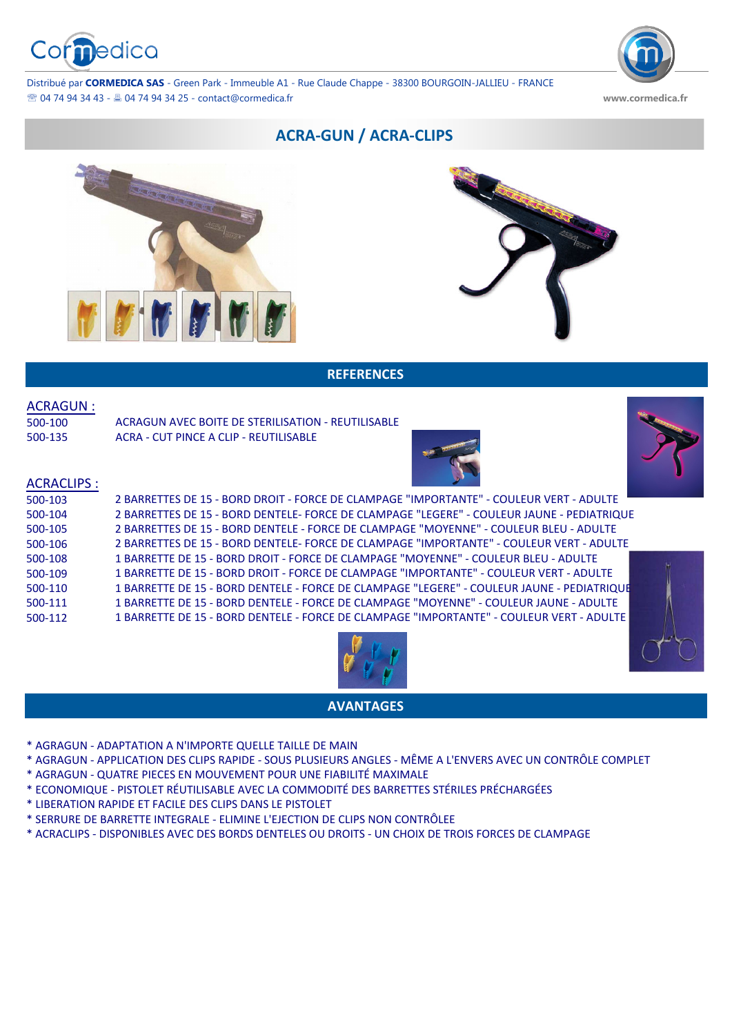

Distribué par **CORMEDICA SAS** - Green Park - Immeuble A1 - Rue Claude Chappe - 38300 BOURGOIN-JALLIEU - FRANCE 04 74 94 34 43 - 04 74 94 34 25 - [contact@cormedica.fr](mailto:contact@cormedica.fr) **www.cormedica.fr**

# **ACRA-GUN / ACRA-CLIPS**





### **REFERENCES**

#### ACRAGUN :

| 500-100 |  |
|---------|--|
| 500-135 |  |

ACRAGUN AVEC BOITE DE STERILISATION - REUTILISABLE ACRA - CUT PINCE A CLIP - REUTILISABLE





# ACRACLIPS :

| 500-103 | 2 BARRETTES DE 15 - BORD DROIT - FORCE DE CLAMPAGE "IMPORTANTE" - COULEUR VERT - ADULTE    |  |
|---------|--------------------------------------------------------------------------------------------|--|
| 500-104 | 2 BARRETTES DE 15 - BORD DENTELE- FORCE DE CLAMPAGE "LEGERE" - COULEUR JAUNE - PEDIATRIQUE |  |
| 500-105 | 2 BARRETTES DE 15 - BORD DENTELE - FORCE DE CLAMPAGE "MOYENNE" - COULEUR BLEU - ADULTE     |  |
| 500-106 | 2 BARRETTES DE 15 - BORD DENTELE- FORCE DE CLAMPAGE "IMPORTANTE" - COULEUR VERT - ADULTE   |  |
| 500-108 | 1 BARRETTE DE 15 - BORD DROIT - FORCE DE CLAMPAGE "MOYENNE" - COULEUR BLEU - ADULTE        |  |
| 500-109 | 1 BARRETTE DE 15 - BORD DROIT - FORCE DE CLAMPAGE "IMPORTANTE" - COULEUR VERT - ADULTE     |  |
| 500-110 | 1 BARRETTE DE 15 - BORD DENTELE - FORCE DE CLAMPAGE "LEGERE" - COULEUR JAUNE - PEDIATRIQUE |  |
| 500-111 | 1 BARRETTE DE 15 - BORD DENTELE - FORCE DE CLAMPAGE "MOYENNE" - COULEUR JAUNE - ADULTE     |  |
| 500-112 | 1 BARRETTE DE 15 - BORD DENTELE - FORCE DE CLAMPAGE "IMPORTANTE" - COULEUR VERT - ADULTE   |  |
|         |                                                                                            |  |





# **AVANTAGES**

- \* AGRAGUN ADAPTATION A N'IMPORTE QUELLE TAILLE DE MAIN
- \* AGRAGUN APPLICATION DES CLIPS RAPIDE SOUS PLUSIEURS ANGLES MÊME A L'ENVERS AVEC UN CONTRÔLE COMPLET
- \* AGRAGUN QUATRE PIECES EN MOUVEMENT POUR UNE FIABILITÉ MAXIMALE
- \* ECONOMIQUE PISTOLET RÉUTILISABLE AVEC LA COMMODITÉ DES BARRETTES STÉRILES PRÉCHARGÉES
- \* LIBERATION RAPIDE ET FACILE DES CLIPS DANS LE PISTOLET
- \* SERRURE DE BARRETTE INTEGRALE ELIMINE L'EJECTION DE CLIPS NON CONTRÔLEE
- \* ACRACLIPS DISPONIBLES AVEC DES BORDS DENTELES OU DROITS UN CHOIX DE TROIS FORCES DE CLAMPAGE